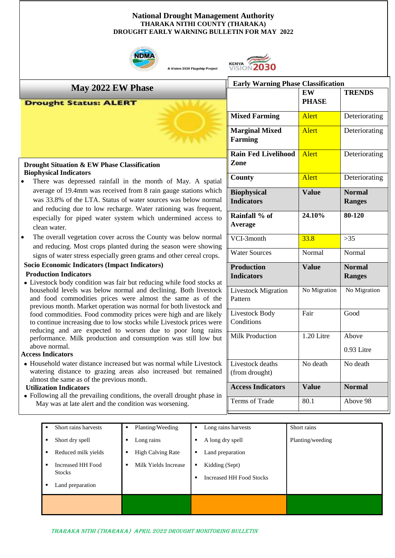#### **National Drought Management Authority THARAKA NITHI COUNTY (THARAKA) DROUGHT EARLY WARNING BULLETIN FOR MAY 2022**



A Vision 2030 Flagship Project



**Marginal Mixed** 

**Rain Fed Livelihood** 

**Farming** 

**Zone**

**Early Warning Phase Classification**

**EW PHASE**

**Mixed Farming Alert** Deteriorating

**County Alert** Deteriorating

**TRENDS**

Alert Deteriorating

Alert Deteriorating

## **May 2022 EW Phase**

#### **Drought Status: ALERT**

### **Drought Situation & EW Phase Classification Biophysical Indicators**

- There was depressed rainfall in the month of May. A spatial average of 19.4mm was received from 8 rain gauge stations which was 33.8% of the LTA. Status of water sources was below norm and reducing due to low recharge. Water rationing was frequent especially for piped water system which undermined access clean water.
- The overall vegetation cover across the County was below norm and reducing. Most crops planted during the season were showing signs of water stress especially green grams and other cereal crops.

### • **Socio Economic Indicators (Impact Indicators)**

#### **Production Indicators**

• Livestock body condition was fair but reducing while food stocks household levels was below normal and declining. Both livestoc and food commodities prices were almost the same as of the previous month. Market operation was normal for both livestock and food commodities. Food commodity prices were high and are like to continue increasing due to low stocks while Livestock prices we reducing and are expected to worsen due to poor long rain performance. Milk production and consumption was still low b above normal.

#### **Access Indicators**

• Household water distance increased but was normal while Livestoc watering distance to grazing areas also increased but remained almost the same as of the previous month.

### **Utilization Indicators**

**Showing an the prevailing conditions, the overall drough May was at late alert and the condition was worsening.** • Following all the prevailing conditions, the overall drought phase

| Short rains harvests<br>Short dry spell<br>$\blacksquare$<br>Reduced milk yields<br>п.<br><b>Increased HH Food</b><br>$\blacksquare$<br><b>Stocks</b><br>Land preparation<br>٠ | Planting/Weeding<br>$\blacksquare$<br>Long rains<br>٠<br><b>High Calving Rate</b><br>٠<br>Milk Yields Increase<br>٠ | Long rains harvests<br>٠<br>A long dry spell<br>٠<br>Land preparation<br>٠<br>Kidding (Sept)<br>٠<br><b>Increased HH Food Stocks</b><br>$\blacksquare$ | Short rains<br>Planting/weeding |
|--------------------------------------------------------------------------------------------------------------------------------------------------------------------------------|---------------------------------------------------------------------------------------------------------------------|--------------------------------------------------------------------------------------------------------------------------------------------------------|---------------------------------|
|                                                                                                                                                                                |                                                                                                                     |                                                                                                                                                        |                                 |

| <b>Biophysical</b><br><b>Indicators</b> | <b>Value</b> | <b>Normal</b><br><b>Ranges</b> |
|-----------------------------------------|--------------|--------------------------------|
| Rainfall % of<br><b>Average</b>         | 24.10%       | 80-120                         |
| VCI-3month                              | 33.8         | >35                            |
| <b>Water Sources</b>                    | Normal       | Normal                         |
| <b>Production</b><br><b>Indicators</b>  | <b>Value</b> | <b>Normal</b><br><b>Ranges</b> |
| <b>Livestock Migration</b><br>Pattern   | No Migration | No Migration                   |
| Livestock Body<br>Conditions            | Fair         | Good                           |
| <b>Milk Production</b>                  | 1.20 Litre   | Above                          |
|                                         |              | $0.93$ Litre                   |
| Livestock deaths<br>(from drought)      | No death     | No death                       |
| <b>Access Indicators</b>                | Value        | <b>Normal</b>                  |
| Terms of Trade                          | 80.1         | Above 98                       |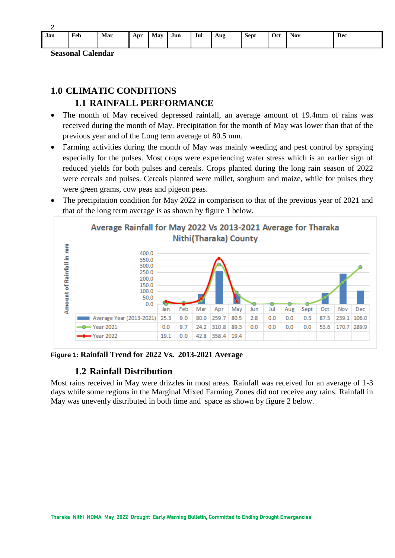| Jan | Feb | Mar | Apr | May | Jun | Jul | Aug | <b>Sept</b> | Oct | <b>Nov</b> | Dec |
|-----|-----|-----|-----|-----|-----|-----|-----|-------------|-----|------------|-----|

**Seasonal Calendar**

# **1.0 CLIMATIC CONDITIONS 1.1 RAINFALL PERFORMANCE**

- The month of May received depressed rainfall, an average amount of 19.4mm of rains was received during the month of May. Precipitation for the month of May was lower than that of the previous year and of the Long term average of 80.5 mm.
- Farming activities during the month of May was mainly weeding and pest control by spraying especially for the pulses. Most crops were experiencing water stress which is an earlier sign of reduced yields for both pulses and cereals. Crops planted during the long rain season of 2022 were cereals and pulses. Cereals planted were millet, sorghum and maize, while for pulses they were green grams, cow peas and pigeon peas.
- The precipitation condition for May 2022 in comparison to that of the previous year of 2021 and that of the long term average is as shown by figure 1 below.



**Figure 1: Rainfall Trend for 2022 Vs. 2013-2021 Average**

## **1.2 Rainfall Distribution**

Most rains received in May were drizzles in most areas. Rainfall was received for an average of 1-3 days while some regions in the Marginal Mixed Farming Zones did not receive any rains. Rainfall in May was unevenly distributed in both time and space as shown by figure 2 below.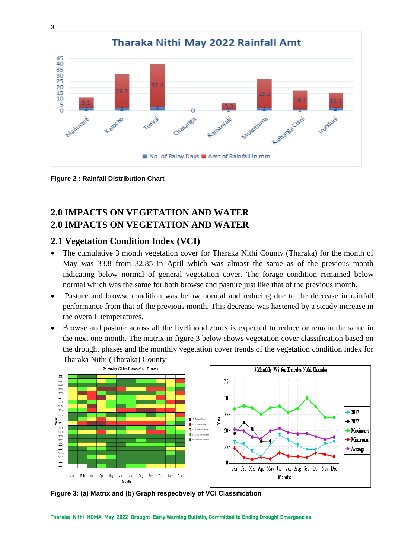

**Figure 2 : Rainfall Distribution Chart**

# **2.0 IMPACTS ON VEGETATION AND WATER 2.0 IMPACTS ON VEGETATION AND WATER**

## **2.1 Vegetation Condition Index (VCI)**

- The cumulative 3 month vegetation cover for Tharaka Nithi County (Tharaka) for the month of May was 33.8 from 32.85 in April which was almost the same as of the previous month indicating below normal of general vegetation cover. The forage condition remained below normal which was the same for both browse and pasture just like that of the previous month.
- Pasture and browse condition was below normal and reducing due to the decrease in rainfall performance from that of the previous month. This decrease was hastened by a steady increase in the overall temperatures.
- Browse and pasture across all the livelihood zones is expected to reduce or remain the same in the next one month. The matrix in figure 3 below shows vegetation cover classification based on the drought phases and the monthly vegetation cover trends of the vegetation condition index for Tharaka Nithi (Tharaka) County



**Figure 3: (a) Matrix and (b) Graph respectively of VCI Classification**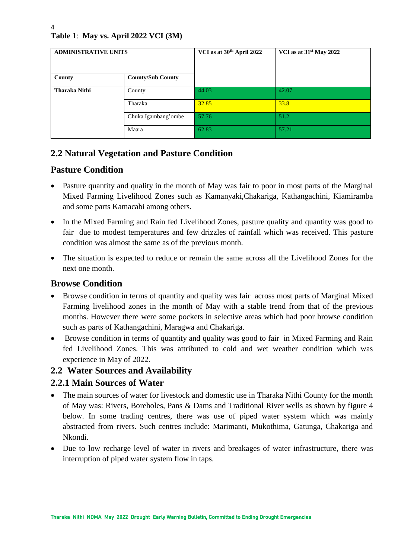# **Table 1**: **May vs. April 2022 VCI (3M)**

| <b>ADMINISTRATIVE UNITS</b> |                          | VCI as at 30 <sup>th</sup> April 2022 | VCI as at 31 <sup>st</sup> May 2022 |  |
|-----------------------------|--------------------------|---------------------------------------|-------------------------------------|--|
| County                      | <b>County/Sub County</b> |                                       |                                     |  |
| <b>Tharaka Nithi</b>        | County                   | 44.03                                 | 42.07                               |  |
|                             | Tharaka                  | 32.85                                 | 33.8                                |  |
|                             | Chuka Igambang'ombe      | 57.76                                 | 51.2                                |  |
|                             | Maara                    | 62.83                                 | 57.21                               |  |

# **2.2 Natural Vegetation and Pasture Condition**

## **Pasture Condition**

- Pasture quantity and quality in the month of May was fair to poor in most parts of the Marginal Mixed Farming Livelihood Zones such as Kamanyaki,Chakariga, Kathangachini, Kiamiramba and some parts Kamacabi among others.
- In the Mixed Farming and Rain fed Livelihood Zones, pasture quality and quantity was good to fair due to modest temperatures and few drizzles of rainfall which was received. This pasture condition was almost the same as of the previous month.
- The situation is expected to reduce or remain the same across all the Livelihood Zones for the next one month.

## **Browse Condition**

- Browse condition in terms of quantity and quality was fair across most parts of Marginal Mixed Farming livelihood zones in the month of May with a stable trend from that of the previous months. However there were some pockets in selective areas which had poor browse condition such as parts of Kathangachini, Maragwa and Chakariga.
- Browse condition in terms of quantity and quality was good to fair in Mixed Farming and Rain fed Livelihood Zones. This was attributed to cold and wet weather condition which was experience in May of 2022.

## **2.2 Water Sources and Availability**

## **2.2.1 Main Sources of Water**

- The main sources of water for livestock and domestic use in Tharaka Nithi County for the month of May was: Rivers, Boreholes, Pans & Dams and Traditional River wells as shown by figure 4 below. In some trading centres, there was use of piped water system which was mainly abstracted from rivers. Such centres include: Marimanti, Mukothima, Gatunga, Chakariga and Nkondi.
- Due to low recharge level of water in rivers and breakages of water infrastructure, there was interruption of piped water system flow in taps.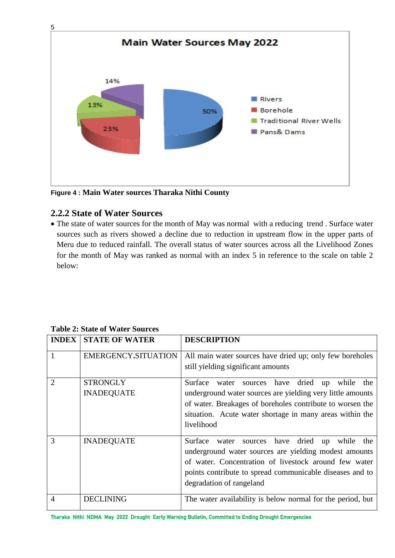

**Figure 4 : Main Water sources Tharaka Nithi County**

## **2.2.2 State of Water Sources**

• The state of water sources for the month of May was normal with a reducing trend . Surface water sources such as rivers showed a decline due to reduction in upstream flow in the upper parts of Meru due to reduced rainfall. The overall status of water sources across all the Livelihood Zones for the month of May was ranked as normal with an index 5 in reference to the scale on table 2 below:

### **Table 2: State of Water Sources**

| <b>INDEX</b>                | <b>STATE OF WATER</b>                | <b>DESCRIPTION</b>                                                                                                                                                                                                                                                     |
|-----------------------------|--------------------------------------|------------------------------------------------------------------------------------------------------------------------------------------------------------------------------------------------------------------------------------------------------------------------|
| 1                           | EMERGENCY.SITUATION                  | All main water sources have dried up; only few boreholes<br>still yielding significant amounts                                                                                                                                                                         |
| $\mathcal{D}_{\mathcal{L}}$ | <b>STRONGLY</b><br><b>INADEQUATE</b> | sources have dried up<br>Surface<br>while<br>water<br>the<br>underground water sources are yielding very little amounts<br>of water. Breakages of boreholes contribute to worsen the<br>situation. Acute water shortage in many areas within the<br>livelihood         |
| 3                           | <b>INADEQUATE</b>                    | Surface<br>sources have dried<br>while<br>water<br>the<br>up<br>underground water sources are yielding modest amounts<br>of water. Concentration of livestock around few water<br>points contribute to spread communicable diseases and to<br>degradation of rangeland |
|                             | DECLINING                            | The water availability is below normal for the period, but                                                                                                                                                                                                             |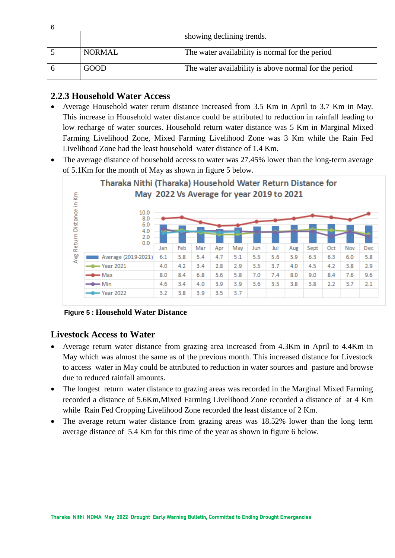|               | showing declining trends.                             |
|---------------|-------------------------------------------------------|
|               |                                                       |
| <b>NORMAL</b> | The water availability is normal for the period       |
| GOOD          | The water availability is above normal for the period |

## **2.2.3 Household Water Access**

- Average Household water return distance increased from 3.5 Km in April to 3.7 Km in May. This increase in Household water distance could be attributed to reduction in rainfall leading to low recharge of water sources. Household return water distance was 5 Km in Marginal Mixed Farming Livelihood Zone, Mixed Farming Livelihood Zone was 3 Km while the Rain Fed Livelihood Zone had the least household water distance of 1.4 Km.
- The average distance of household access to water was 27.45% lower than the long-term average of 5.1Km for the month of May as shown in figure 5 below.



**Figure 5 : Household Water Distance**

## **Livestock Access to Water**

- Average return water distance from grazing area increased from 4.3Km in April to 4.4Km in May which was almost the same as of the previous month. This increased distance for Livestock to access water in May could be attributed to reduction in water sources and pasture and browse due to reduced rainfall amounts.
- The longest return water distance to grazing areas was recorded in the Marginal Mixed Farming recorded a distance of 5.6Km,Mixed Farming Livelihood Zone recorded a distance of at 4 Km while Rain Fed Cropping Livelihood Zone recorded the least distance of 2 Km.
- The average return water distance from grazing areas was 18.52% lower than the long term average distance of 5.4 Km for this time of the year as shown in figure 6 below.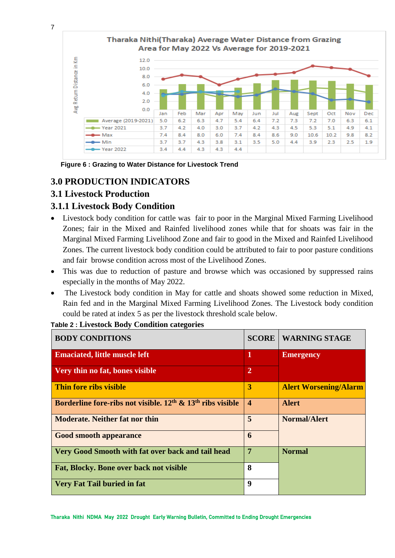

**Figure 6 : Grazing to Water Distance for Livestock Trend**

## **3.0 PRODUCTION INDICATORS**

## **3.1 Livestock Production**

## **3.1.1 Livestock Body Condition**

- Livestock body condition for cattle was fair to poor in the Marginal Mixed Farming Livelihood Zones; fair in the Mixed and Rainfed livelihood zones while that for shoats was fair in the Marginal Mixed Farming Livelihood Zone and fair to good in the Mixed and Rainfed Livelihood Zones. The current livestock body condition could be attributed to fair to poor pasture conditions and fair browse condition across most of the Livelihood Zones.
- This was due to reduction of pasture and browse which was occasioned by suppressed rains especially in the months of May 2022.
- The Livestock body condition in May for cattle and shoats showed some reduction in Mixed, Rain fed and in the Marginal Mixed Farming Livelihood Zones. The Livestock body condition could be rated at index 5 as per the livestock threshold scale below.

### **Table 2 : Livestock Body Condition categories**

| <b>BODY CONDITIONS</b>                                         | <b>SCORE</b>          | <b>WARNING STAGE</b>         |
|----------------------------------------------------------------|-----------------------|------------------------------|
| <b>Emaciated, little muscle left</b>                           | 1                     | <b>Emergency</b>             |
| Very thin no fat, bones visible                                | $\overline{2}$        |                              |
| Thin fore ribs visible                                         | 3                     | <b>Alert Worsening/Alarm</b> |
| Borderline fore-ribs not visible, $12th$ & $13th$ ribs visible | $\boldsymbol{\Delta}$ | <b>Alert</b>                 |
| <b>Moderate. Neither fat nor thin</b>                          | 5                     | <b>Normal/Alert</b>          |
| <b>Good smooth appearance</b>                                  | 6                     |                              |
| Very Good Smooth with fat over back and tail head              | 7                     | <b>Normal</b>                |
| Fat, Blocky. Bone over back not visible                        | 8                     |                              |
| <b>Very Fat Tail buried in fat</b>                             | 9                     |                              |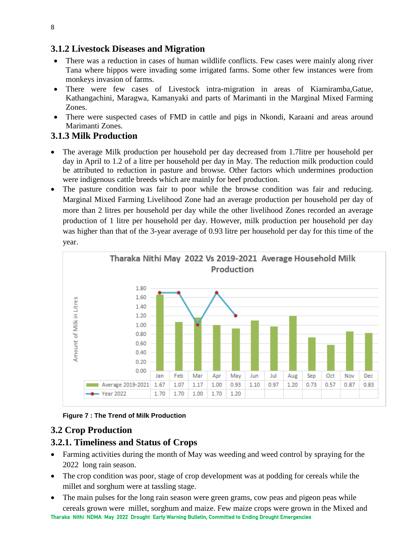## **3.1.2 Livestock Diseases and Migration**

- There was a reduction in cases of human wildlife conflicts. Few cases were mainly along river Tana where hippos were invading some irrigated farms. Some other few instances were from monkeys invasion of farms.
- There were few cases of Livestock intra-migration in areas of Kiamiramba,Gatue, Kathangachini, Maragwa, Kamanyaki and parts of Marimanti in the Marginal Mixed Farming Zones.
- There were suspected cases of FMD in cattle and pigs in Nkondi, Karaani and areas around Marimanti Zones.

## **3.1.3 Milk Production**

- The average Milk production per household per day decreased from 1.7litre per household per day in April to 1.2 of a litre per household per day in May. The reduction milk production could be attributed to reduction in pasture and browse. Other factors which undermines production were indigenous cattle breeds which are mainly for beef production.
- The pasture condition was fair to poor while the browse condition was fair and reducing. Marginal Mixed Farming Livelihood Zone had an average production per household per day of more than 2 litres per household per day while the other livelihood Zones recorded an average production of 1 litre per household per day. However, milk production per household per day was higher than that of the 3-year average of 0.93 litre per household per day for this time of the year.



### **Figure 7 : The Trend of Milk Production**

## **3.2 Crop Production**

## **3.2.1. Timeliness and Status of Crops**

- Farming activities during the month of May was weeding and weed control by spraying for the 2022 long rain season.
- The crop condition was poor, stage of crop development was at podding for cereals while the millet and sorghum were at tassling stage.
- Tharaka Nithi NDMA May 2022 Drought Early Warning Bulletin, Committed to Ending Drought Emergencies The main pulses for the long rain season were green grams, cow peas and pigeon peas while cereals grown were millet, sorghum and maize. Few maize crops were grown in the Mixed and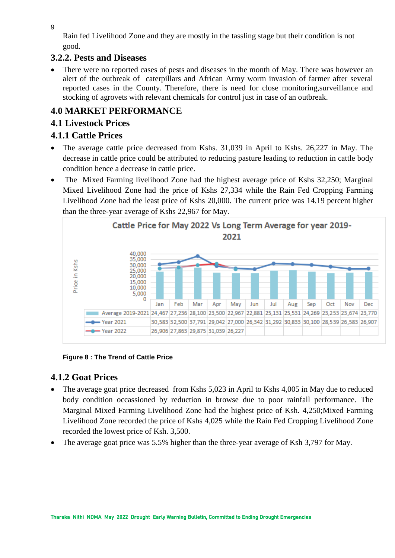9

Rain fed Livelihood Zone and they are mostly in the tassling stage but their condition is not good.

## **3.2.2. Pests and Diseases**

There were no reported cases of pests and diseases in the month of May. There was however an alert of the outbreak of caterpillars and African Army worm invasion of farmer after several reported cases in the County. Therefore, there is need for close monitoring,surveillance and stocking of agrovets with relevant chemicals for control just in case of an outbreak.

# **4.0 MARKET PERFORMANCE**

## **4.1 Livestock Prices**

# **4.1.1 Cattle Prices**

- The average cattle price decreased from Kshs. 31,039 in April to Kshs. 26,227 in May. The decrease in cattle price could be attributed to reducing pasture leading to reduction in cattle body condition hence a decrease in cattle price.
- The Mixed Farming livelihood Zone had the highest average price of Kshs 32,250; Marginal Mixed Livelihood Zone had the price of Kshs 27,334 while the Rain Fed Cropping Farming Livelihood Zone had the least price of Kshs 20,000. The current price was 14.19 percent higher than the three-year average of Kshs 22,967 for May.



## **Figure 8 : The Trend of Cattle Price**

## **4.1.2 Goat Prices**

- The average goat price decreased from Kshs 5,023 in April to Kshs 4,005 in May due to reduced body condition occassioned by reduction in browse due to poor rainfall performance. The Marginal Mixed Farming Livelihood Zone had the highest price of Ksh. 4,250;Mixed Farming Livelihood Zone recorded the price of Kshs 4,025 while the Rain Fed Cropping Livelihood Zone recorded the lowest price of Ksh. 3,500.
- The average goat price was 5.5% higher than the three-year average of Ksh 3,797 for May.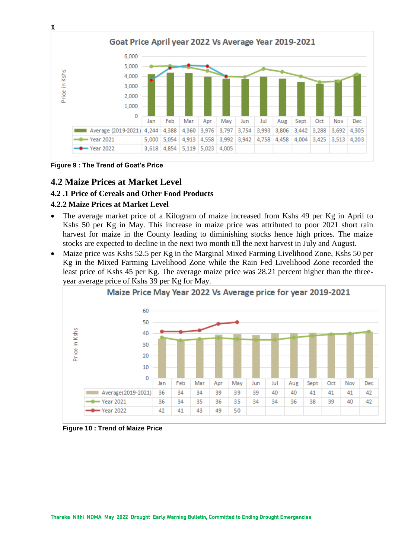

**Figure 9 : The Trend of Goat's Price**

## **4.2 Maize Prices at Market Level**

### **4.2 .1 Price of Cereals and Other Food Products**

### **4.2.2 Maize Prices at Market Level**

- The average market price of a Kilogram of maize increased from Kshs 49 per Kg in April to Kshs 50 per Kg in May. This increase in maize price was attributed to poor 2021 short rain harvest for maize in the County leading to diminishing stocks hence high prices. The maize stocks are expected to decline in the next two month till the next harvest in July and August.
- Maize price was Kshs 52.5 per Kg in the Marginal Mixed Farming Livelihood Zone, Kshs 50 per Kg in the Mixed Farming Livelihood Zone while the Rain Fed Livelihood Zone recorded the least price of Kshs 45 per Kg. The average maize price was 28.21 percent higher than the threeyear average price of Kshs 39 per Kg for May.



**Figure 10 : Trend of Maize Price**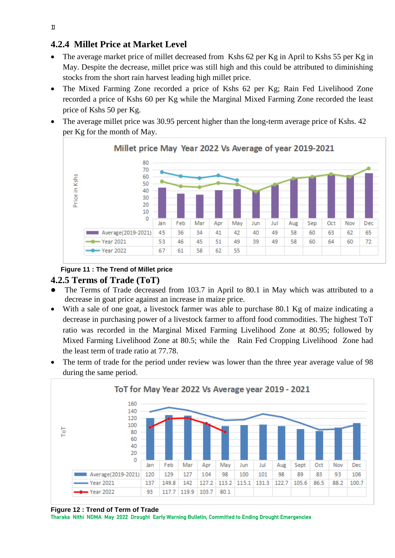## **4.2.4 Millet Price at Market Level**

- The average market price of millet decreased from Kshs 62 per Kg in April to Kshs 55 per Kg in May. Despite the decrease, millet price was still high and this could be attributed to diminishing stocks from the short rain harvest leading high millet price.
- The Mixed Farming Zone recorded a price of Kshs 62 per Kg; Rain Fed Livelihood Zone recorded a price of Kshs 60 per Kg while the Marginal Mixed Farming Zone recorded the least price of Kshs 50 per Kg.
- The average millet price was 30.95 percent higher than the long-term average price of Kshs. 42 per Kg for the month of May.



### **Figure 11 : The Trend of Millet price**

### **4.2.5 Terms of Trade (ToT)**

- ⚫ The Terms of Trade decreased from 103.7 in April to 80.1 in May which was attributed to a decrease in goat price against an increase in maize price.
- With a sale of one goat, a livestock farmer was able to purchase 80.1 Kg of maize indicating a decrease in purchasing power of a livestock farmer to afford food commodities. The highest ToT ratio was recorded in the Marginal Mixed Farming Livelihood Zone at 80.95; followed by Mixed Farming Livelihood Zone at 80.5; while the Rain Fed Cropping Livelihood Zone had the least term of trade ratio at 77.78.
- The term of trade for the period under review was lower than the three year average value of 98 during the same period.



**Figure 12 : Trend of Term of Trade**

Tharaka Nithi NDMA May 2022 Drought Early Warning Bulletin, Committed to Ending Drought Emergencies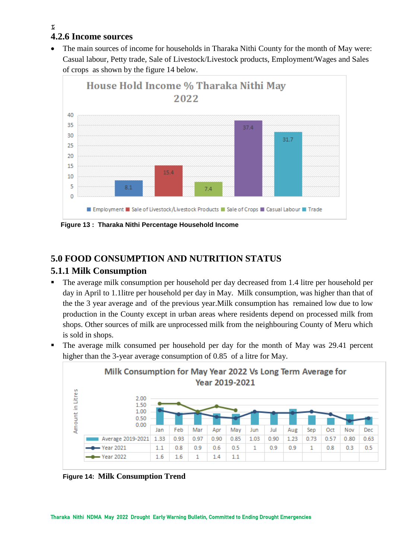# **4.2.6 Income sources**

• The main sources of income for households in Tharaka Nithi County for the month of May were: Casual labour, Petty trade, Sale of Livestock/Livestock products, Employment/Wages and Sales of crops as shown by the figure 14 below.



# **5.0 FOOD CONSUMPTION AND NUTRITION STATUS**

## **5.1.1 Milk Consumption**

- The average milk consumption per household per day decreased from 1.4 litre per household per day in April to 1.1litre per household per day in May. Milk consumption, was higher than that of the the 3 year average and of the previous year.Milk consumption has remained low due to low production in the County except in urban areas where residents depend on processed milk from shops. Other sources of milk are unprocessed milk from the neighbouring County of Meru which is sold in shops.
- The average milk consumed per household per day for the month of May was 29.41 percent higher than the 3-year average consumption of 0.85 of a litre for May.



**Figure 14: Milk Consumption Trend**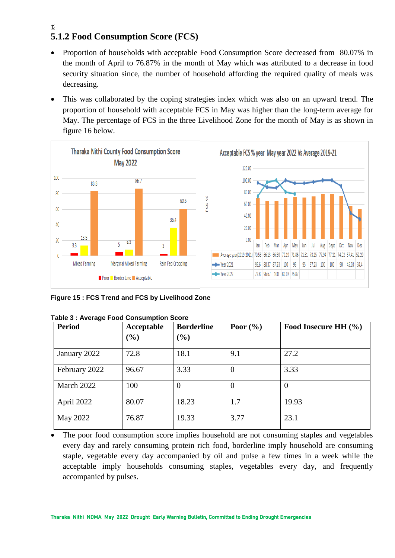### $\tau$ **5.1.2 Food Consumption Score (FCS)**

- Proportion of households with acceptable Food Consumption Score decreased from 80.07% in the month of April to 76.87% in the month of May which was attributed to a decrease in food security situation since, the number of household affording the required quality of meals was decreasing.
- This was collaborated by the coping strategies index which was also on an upward trend. The proportion of household with acceptable FCS in May was higher than the long-term average for May. The percentage of FCS in the three Livelihood Zone for the month of May is as shown in figure 16 below.



**Figure 15 : FCS Trend and FCS by Livelihood Zone**

| <b>Period</b> | Acceptable<br>(%) | <b>Borderline</b><br>(%) | Poor $(\% )$ | Food Insecure HH (%) |
|---------------|-------------------|--------------------------|--------------|----------------------|
| January 2022  | 72.8              | 18.1                     | 9.1          | 27.2                 |
| February 2022 | 96.67             | 3.33                     | 0            | 3.33                 |
| March 2022    | 100               | $\overline{0}$           | $\theta$     | $\overline{0}$       |
| April 2022    | 80.07             | 18.23                    | 1.7          | 19.93                |
| May 2022      | 76.87             | 19.33                    | 3.77         | 23.1                 |

|  |  | Table 3 : Average Food Consumption Score |  |
|--|--|------------------------------------------|--|
|  |  |                                          |  |

• The poor food consumption score implies household are not consuming staples and vegetables every day and rarely consuming protein rich food, borderline imply household are consuming staple, vegetable every day accompanied by oil and pulse a few times in a week while the acceptable imply households consuming staples, vegetables every day, and frequently accompanied by pulses.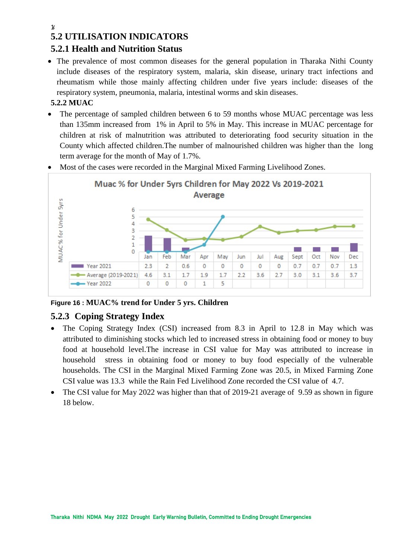### $\gamma$

# **5.2 UTILISATION INDICATORS**

## **5.2.1 Health and Nutrition Status**

• The prevalence of most common diseases for the general population in Tharaka Nithi County include diseases of the respiratory system, malaria, skin disease, urinary tract infections and rheumatism while those mainly affecting children under five years include: diseases of the respiratory system, pneumonia, malaria, intestinal worms and skin diseases.

## **5.2.2 MUAC**

• The percentage of sampled children between 6 to 59 months whose MUAC percentage was less than 135mm increased from 1% in April to 5% in May. This increase in MUAC percentage for children at risk of malnutrition was attributed to deteriorating food security situation in the County which affected children.The number of malnourished children was higher than the long term average for the month of May of 1.7%.

![](_page_13_Figure_6.jpeg)

• Most of the cases were recorded in the Marginal Mixed Farming Livelihood Zones.

## **Figure 16 : MUAC% trend for Under 5 yrs. Children**

## **5.2.3 Coping Strategy Index**

- The Coping Strategy Index (CSI) increased from 8.3 in April to 12.8 in May which was attributed to diminishing stocks which led to increased stress in obtaining food or money to buy food at household level.The increase in CSI value for May was attributed to increase in household stress in obtaining food or money to buy food especially of the vulnerable households. The CSI in the Marginal Mixed Farming Zone was 20.5, in Mixed Farming Zone CSI value was 13.3 while the Rain Fed Livelihood Zone recorded the CSI value of 4.7.
- The CSI value for May 2022 was higher than that of 2019-21 average of 9.59 as shown in figure 18 below.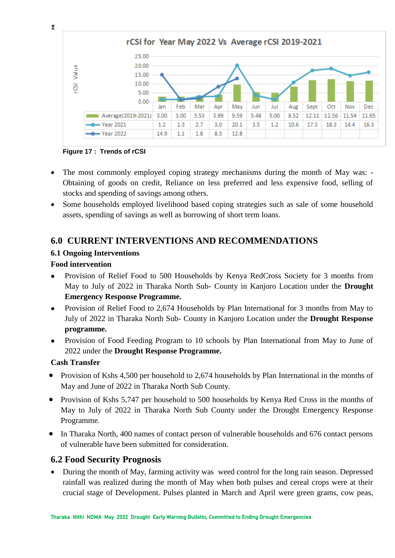![](_page_14_Figure_0.jpeg)

**Figure 17 : Trends of rCSI**

- The most commonly employed coping strategy mechanisms during the month of May was: Obtaining of goods on credit, Reliance on less preferred and less expensive food, selling of stocks and spending of savings among others.
- Some households employed livelihood based coping strategies such as sale of some household assets, spending of savings as well as borrowing of short term loans.

## **6.0 CURRENT INTERVENTIONS AND RECOMMENDATIONS**

## **6.1 Ongoing Interventions**

## **Food intervention**

- ⚫ Provision of Relief Food to 500 Households by Kenya RedCross Society for 3 months from May to July of 2022 in Tharaka North Sub- County in Kanjoro Location under the **Drought Emergency Response Programme.**
- Provision of Relief Food to 2,674 Households by Plan International for 3 months from May to July of 2022 in Tharaka North Sub- County in Kanjoro Location under the **Drought Response programme.**
- ⚫ Provision of Food Feeding Program to 10 schools by Plan International from May to June of 2022 under the **Drought Response Programme.**

## **Cash Transfer**

- Provision of Kshs 4,500 per household to 2,674 households by Plan International in the months of May and June of 2022 in Tharaka North Sub County.
- Provision of Kshs 5,747 per household to 500 households by Kenya Red Cross in the months of May to July of 2022 in Tharaka North Sub County under the Drought Emergency Response Programme.
- In Tharaka North, 400 names of contact person of vulnerable households and 676 contact persons of vulnerable have been submitted for consideration.

## **6.2 Food Security Prognosis**

• During the month of May, farming activity was weed control for the long rain season. Depressed rainfall was realized during the month of May when both pulses and cereal crops were at their crucial stage of Development. Pulses planted in March and April were green grams, cow peas,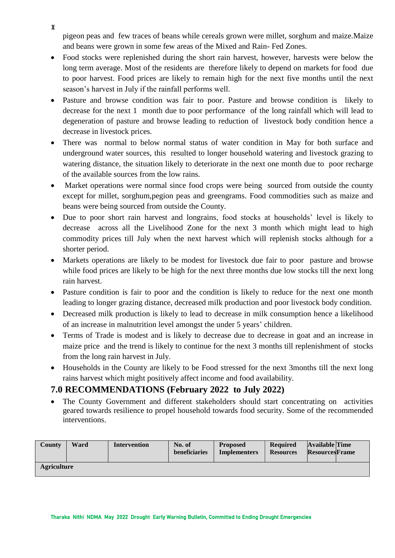pigeon peas and few traces of beans while cereals grown were millet, sorghum and maize.Maize and beans were grown in some few areas of the Mixed and Rain- Fed Zones.

- Food stocks were replenished during the short rain harvest, however, harvests were below the long term average. Most of the residents are therefore likely to depend on markets for food due to poor harvest. Food prices are likely to remain high for the next five months until the next season's harvest in July if the rainfall performs well.
- Pasture and browse condition was fair to poor. Pasture and browse condition is likely to decrease for the next 1 month due to poor performance of the long rainfall which will lead to degeneration of pasture and browse leading to reduction of livestock body condition hence a decrease in livestock prices.
- There was normal to below normal status of water condition in May for both surface and underground water sources, this resulted to longer household watering and livestock grazing to watering distance, the situation likely to deteriorate in the next one month due to poor recharge of the available sources from the low rains.
- Market operations were normal since food crops were being sourced from outside the county except for millet, sorghum,pegion peas and greengrams. Food commodities such as maize and beans were being sourced from outside the County.
- Due to poor short rain harvest and longrains, food stocks at households' level is likely to decrease across all the Livelihood Zone for the next 3 month which might lead to high commodity prices till July when the next harvest which will replenish stocks although for a shorter period.
- Markets operations are likely to be modest for livestock due fair to poor pasture and browse while food prices are likely to be high for the next three months due low stocks till the next long rain harvest.
- Pasture condition is fair to poor and the condition is likely to reduce for the next one month leading to longer grazing distance, decreased milk production and poor livestock body condition.
- Decreased milk production is likely to lead to decrease in milk consumption hence a likelihood of an increase in malnutrition level amongst the under 5 years' children.
- Terms of Trade is modest and is likely to decrease due to decrease in goat and an increase in maize price and the trend is likely to continue for the next 3 months till replenishment of stocks from the long rain harvest in July.
- Households in the County are likely to be Food stressed for the next 3months till the next long rains harvest which might positively affect income and food availability.

# **7.0 RECOMMENDATIONS (February 2022 to July 2022)**

The County Government and different stakeholders should start concentrating on activities geared towards resilience to propel household towards food security. Some of the recommended interventions.

| County             | Ward | Intervention | No. of<br>beneficiaries | <b>Proposed</b><br><b>Implementers</b> | <b>Required</b><br><b>Resources</b> | <b>Available Time</b><br><b>ResourcesFrame</b> |
|--------------------|------|--------------|-------------------------|----------------------------------------|-------------------------------------|------------------------------------------------|
| <b>Agriculture</b> |      |              |                         |                                        |                                     |                                                |

 $\mathfrak{r}$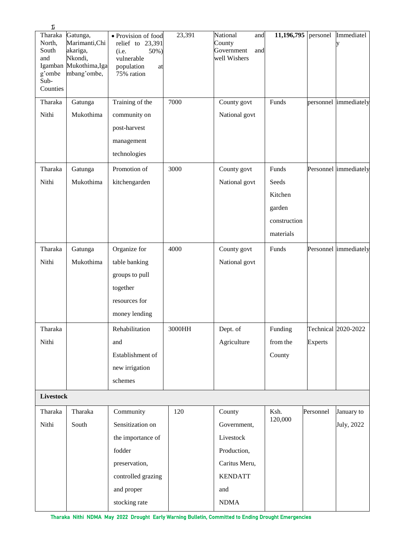| $\pmb{\mathcal{V}}$                                             |                                                                                            |                                                                                                          |        |                                                                |              |                |                       |
|-----------------------------------------------------------------|--------------------------------------------------------------------------------------------|----------------------------------------------------------------------------------------------------------|--------|----------------------------------------------------------------|--------------|----------------|-----------------------|
| Tharaka<br>North,<br>South<br>and<br>g'ombe<br>Sub-<br>Counties | Gatunga,<br>Marimanti, Chi<br>akariga,<br>Nkondi,<br>Igamban Mukothima, Iga<br>mbang'ombe, | · Provision of food<br>relief to 23,391<br>50%)<br>(i.e.<br>vulnerable<br>population<br>at<br>75% ration | 23,391 | National<br>and<br>County<br>Government<br>and<br>well Wishers | 11,196,795   | personel       | Immediatel<br>у       |
| Tharaka                                                         | Gatunga                                                                                    | Training of the                                                                                          | 7000   | County govt                                                    | Funds        |                | personnel immediately |
| Nithi                                                           | Mukothima                                                                                  | community on<br>post-harvest<br>management<br>technologies                                               |        | National govt                                                  |              |                |                       |
| Tharaka                                                         | Gatunga                                                                                    | Promotion of                                                                                             | 3000   | County govt                                                    | Funds        |                | Personnel immediately |
| Nithi                                                           | Mukothima                                                                                  | kitchengarden                                                                                            |        | National govt                                                  | Seeds        |                |                       |
|                                                                 |                                                                                            |                                                                                                          |        |                                                                | Kitchen      |                |                       |
|                                                                 |                                                                                            |                                                                                                          |        |                                                                | garden       |                |                       |
|                                                                 |                                                                                            |                                                                                                          |        |                                                                | construction |                |                       |
|                                                                 |                                                                                            |                                                                                                          |        |                                                                | materials    |                |                       |
| Tharaka                                                         | Gatunga                                                                                    | Organize for                                                                                             | 4000   | County govt                                                    | Funds        |                | Personnel immediately |
| Nithi                                                           | Mukothima                                                                                  | table banking                                                                                            |        | National govt                                                  |              |                |                       |
|                                                                 |                                                                                            | groups to pull                                                                                           |        |                                                                |              |                |                       |
|                                                                 |                                                                                            | together                                                                                                 |        |                                                                |              |                |                       |
|                                                                 |                                                                                            | resources for                                                                                            |        |                                                                |              |                |                       |
|                                                                 |                                                                                            | money lending                                                                                            |        |                                                                |              |                |                       |
| Tharaka                                                         |                                                                                            | Rehabilitation                                                                                           | 3000HH | Dept. of                                                       | Funding      |                | Technical 2020-2022   |
| Nithi                                                           |                                                                                            | and                                                                                                      |        | Agriculture                                                    | from the     | <b>Experts</b> |                       |
|                                                                 |                                                                                            | Establishment of                                                                                         |        |                                                                | County       |                |                       |
|                                                                 |                                                                                            | new irrigation                                                                                           |        |                                                                |              |                |                       |
|                                                                 |                                                                                            | schemes                                                                                                  |        |                                                                |              |                |                       |
| Livestock                                                       |                                                                                            |                                                                                                          |        |                                                                |              |                |                       |
| Tharaka                                                         | Tharaka                                                                                    | Community                                                                                                | 120    | County                                                         | Ksh.         | Personnel      | January to            |
| Nithi                                                           | South                                                                                      | Sensitization on                                                                                         |        | Government,                                                    | 120,000      |                | July, 2022            |
|                                                                 |                                                                                            | the importance of                                                                                        |        | Livestock                                                      |              |                |                       |
|                                                                 |                                                                                            | fodder                                                                                                   |        | Production,                                                    |              |                |                       |
|                                                                 |                                                                                            | preservation,                                                                                            |        | Caritus Meru,                                                  |              |                |                       |
|                                                                 |                                                                                            | controlled grazing                                                                                       |        | <b>KENDATT</b>                                                 |              |                |                       |
|                                                                 |                                                                                            | and proper                                                                                               |        | and                                                            |              |                |                       |
|                                                                 |                                                                                            | stocking rate                                                                                            |        | <b>NDMA</b>                                                    |              |                |                       |